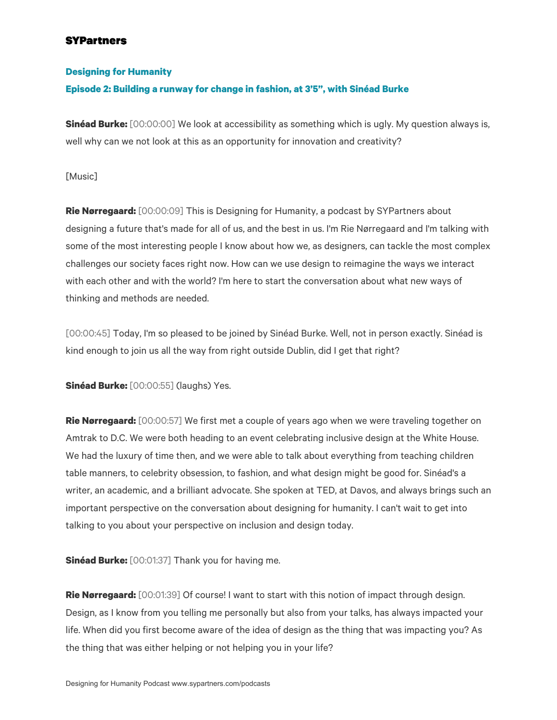#### **Designing for Humanity**

### **Episode 2: Building a runway for change in fashion, at 3'5", with Sinéad Burke**

**Sinéad Burke:** [00:00:00] We look at accessibility as something which is ugly. My question always is, well why can we not look at this as an opportunity for innovation and creativity?

[Music]

**Rie Nørregaard:** [00:00:09] This is Designing for Humanity, a podcast by SYPartners about designing a future that's made for all of us, and the best in us. I'm Rie Nørregaard and I'm talking with some of the most interesting people I know about how we, as designers, can tackle the most complex challenges our society faces right now. How can we use design to reimagine the ways we interact with each other and with the world? I'm here to start the conversation about what new ways of thinking and methods are needed.

[00:00:45] Today, I'm so pleased to be joined by Sinéad Burke. Well, not in person exactly. Sinéad is kind enough to join us all the way from right outside Dublin, did I get that right?

**Sinéad Burke:** [00:00:55] (laughs) Yes.

**Rie Nørregaard:** [00:00:57] We first met a couple of years ago when we were traveling together on Amtrak to D.C. We were both heading to an event celebrating inclusive design at the White House. We had the luxury of time then, and we were able to talk about everything from teaching children table manners, to celebrity obsession, to fashion, and what design might be good for. Sinéad's a writer, an academic, and a brilliant advocate. She spoken at TED, at Davos, and always brings such an important perspective on the conversation about designing for humanity. I can't wait to get into talking to you about your perspective on inclusion and design today.

**Sinéad Burke:** [00:01:37] Thank you for having me.

**Rie Nørregaard:** [00:01:39] Of course! I want to start with this notion of impact through design. Design, as I know from you telling me personally but also from your talks, has always impacted your life. When did you first become aware of the idea of design as the thing that was impacting you? As the thing that was either helping or not helping you in your life?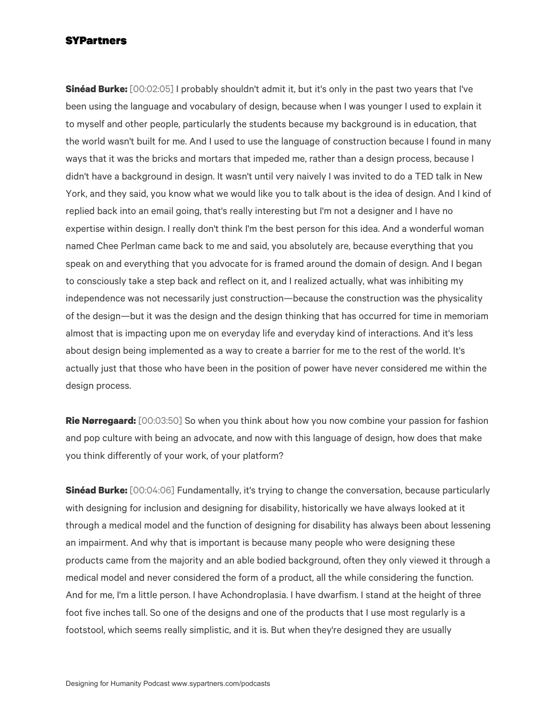**Sinéad Burke:** [00:02:05] I probably shouldn't admit it, but it's only in the past two years that I've been using the language and vocabulary of design, because when I was younger I used to explain it to myself and other people, particularly the students because my background is in education, that the world wasn't built for me. And I used to use the language of construction because I found in many ways that it was the bricks and mortars that impeded me, rather than a design process, because I didn't have a background in design. It wasn't until very naively I was invited to do a TED talk in New York, and they said, you know what we would like you to talk about is the idea of design. And I kind of replied back into an email going, that's really interesting but I'm not a designer and I have no expertise within design. I really don't think I'm the best person for this idea. And a wonderful woman named Chee Perlman came back to me and said, you absolutely are, because everything that you speak on and everything that you advocate for is framed around the domain of design. And I began to consciously take a step back and reflect on it, and I realized actually, what was inhibiting my independence was not necessarily just construction—because the construction was the physicality of the design—but it was the design and the design thinking that has occurred for time in memoriam almost that is impacting upon me on everyday life and everyday kind of interactions. And it's less about design being implemented as a way to create a barrier for me to the rest of the world. It's actually just that those who have been in the position of power have never considered me within the design process.

**Rie Nørregaard:** [00:03:50] So when you think about how you now combine your passion for fashion and pop culture with being an advocate, and now with this language of design, how does that make you think differently of your work, of your platform?

**Sinéad Burke:** [00:04:06] Fundamentally, it's trying to change the conversation, because particularly with designing for inclusion and designing for disability, historically we have always looked at it through a medical model and the function of designing for disability has always been about lessening an impairment. And why that is important is because many people who were designing these products came from the majority and an able bodied background, often they only viewed it through a medical model and never considered the form of a product, all the while considering the function. And for me, I'm a little person. I have Achondroplasia. I have dwarfism. I stand at the height of three foot five inches tall. So one of the designs and one of the products that I use most regularly is a footstool, which seems really simplistic, and it is. But when they're designed they are usually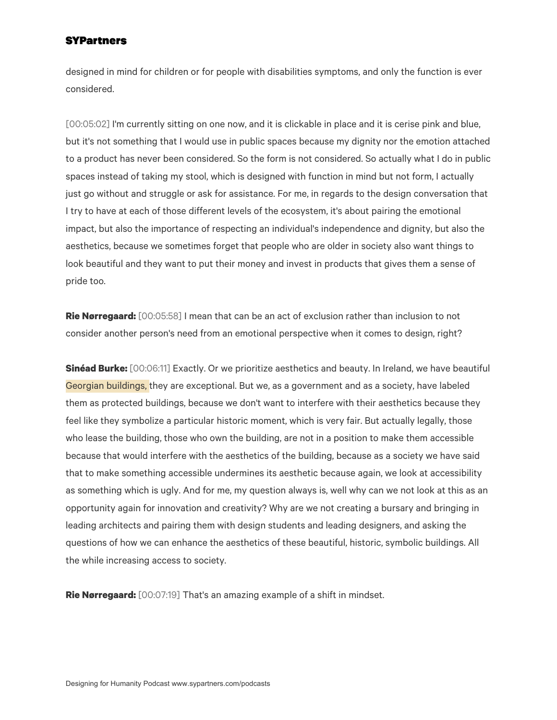designed in mind for children or for people with disabilities symptoms, and only the function is ever considered.

[00:05:02] I'm currently sitting on one now, and it is clickable in place and it is cerise pink and blue, but it's not something that I would use in public spaces because my dignity nor the emotion attached to a product has never been considered. So the form is not considered. So actually what I do in public spaces instead of taking my stool, which is designed with function in mind but not form, I actually just go without and struggle or ask for assistance. For me, in regards to the design conversation that I try to have at each of those different levels of the ecosystem, it's about pairing the emotional impact, but also the importance of respecting an individual's independence and dignity, but also the aesthetics, because we sometimes forget that people who are older in society also want things to look beautiful and they want to put their money and invest in products that gives them a sense of pride too.

**Rie Nørregaard:** [00:05:58] I mean that can be an act of exclusion rather than inclusion to not consider another person's need from an emotional perspective when it comes to design, right?

**Sinéad Burke:** [00:06:11] Exactly. Or we prioritize aesthetics and beauty. In Ireland, we have beautiful Georgian buildings, they are exceptional. But we, as a government and as a society, have labeled them as protected buildings, because we don't want to interfere with their aesthetics because they feel like they symbolize a particular historic moment, which is very fair. But actually legally, those who lease the building, those who own the building, are not in a position to make them accessible because that would interfere with the aesthetics of the building, because as a society we have said that to make something accessible undermines its aesthetic because again, we look at accessibility as something which is ugly. And for me, my question always is, well why can we not look at this as an opportunity again for innovation and creativity? Why are we not creating a bursary and bringing in leading architects and pairing them with design students and leading designers, and asking the questions of how we can enhance the aesthetics of these beautiful, historic, symbolic buildings. All the while increasing access to society.

**Rie Nørregaard:** [00:07:19] That's an amazing example of a shift in mindset.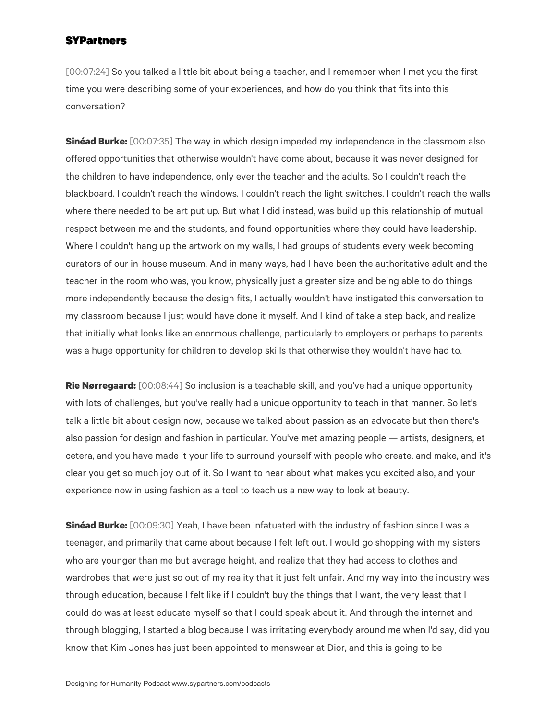[00:07:24] So you talked a little bit about being a teacher, and I remember when I met you the first time you were describing some of your experiences, and how do you think that fits into this conversation?

**Sinéad Burke:** [00:07:35] The way in which design impeded my independence in the classroom also offered opportunities that otherwise wouldn't have come about, because it was never designed for the children to have independence, only ever the teacher and the adults. So I couldn't reach the blackboard. I couldn't reach the windows. I couldn't reach the light switches. I couldn't reach the walls where there needed to be art put up. But what I did instead, was build up this relationship of mutual respect between me and the students, and found opportunities where they could have leadership. Where I couldn't hang up the artwork on my walls, I had groups of students every week becoming curators of our in-house museum. And in many ways, had I have been the authoritative adult and the teacher in the room who was, you know, physically just a greater size and being able to do things more independently because the design fits, I actually wouldn't have instigated this conversation to my classroom because I just would have done it myself. And I kind of take a step back, and realize that initially what looks like an enormous challenge, particularly to employers or perhaps to parents was a huge opportunity for children to develop skills that otherwise they wouldn't have had to.

**Rie Nørregaard:** [00:08:44] So inclusion is a teachable skill, and you've had a unique opportunity with lots of challenges, but you've really had a unique opportunity to teach in that manner. So let's talk a little bit about design now, because we talked about passion as an advocate but then there's also passion for design and fashion in particular. You've met amazing people — artists, designers, et cetera, and you have made it your life to surround yourself with people who create, and make, and it's clear you get so much joy out of it. So I want to hear about what makes you excited also, and your experience now in using fashion as a tool to teach us a new way to look at beauty.

**Sinéad Burke:** [00:09:30] Yeah, I have been infatuated with the industry of fashion since I was a teenager, and primarily that came about because I felt left out. I would go shopping with my sisters who are younger than me but average height, and realize that they had access to clothes and wardrobes that were just so out of my reality that it just felt unfair. And my way into the industry was through education, because I felt like if I couldn't buy the things that I want, the very least that I could do was at least educate myself so that I could speak about it. And through the internet and through blogging, I started a blog because I was irritating everybody around me when I'd say, did you know that Kim Jones has just been appointed to menswear at Dior, and this is going to be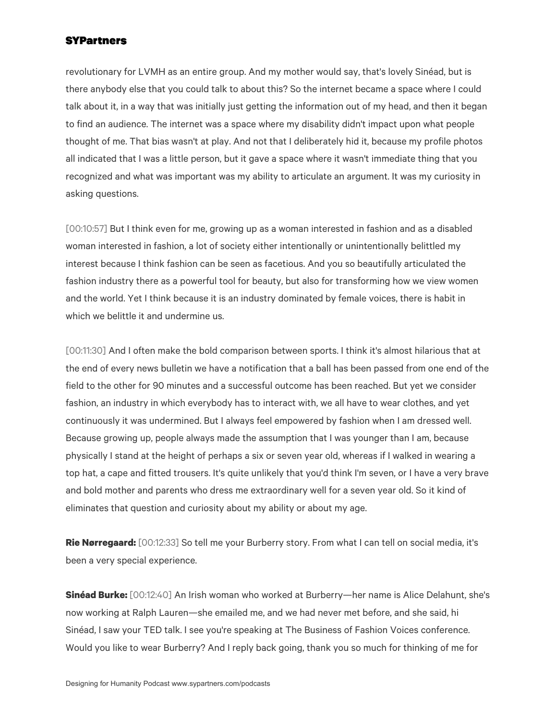revolutionary for LVMH as an entire group. And my mother would say, that's lovely Sinéad, but is there anybody else that you could talk to about this? So the internet became a space where I could talk about it, in a way that was initially just getting the information out of my head, and then it began to find an audience. The internet was a space where my disability didn't impact upon what people thought of me. That bias wasn't at play. And not that I deliberately hid it, because my profile photos all indicated that I was a little person, but it gave a space where it wasn't immediate thing that you recognized and what was important was my ability to articulate an argument. It was my curiosity in asking questions.

[00:10:57] But I think even for me, growing up as a woman interested in fashion and as a disabled woman interested in fashion, a lot of society either intentionally or unintentionally belittled my interest because I think fashion can be seen as facetious. And you so beautifully articulated the fashion industry there as a powerful tool for beauty, but also for transforming how we view women and the world. Yet I think because it is an industry dominated by female voices, there is habit in which we belittle it and undermine us.

[00:11:30] And I often make the bold comparison between sports. I think it's almost hilarious that at the end of every news bulletin we have a notification that a ball has been passed from one end of the field to the other for 90 minutes and a successful outcome has been reached. But yet we consider fashion, an industry in which everybody has to interact with, we all have to wear clothes, and yet continuously it was undermined. But I always feel empowered by fashion when I am dressed well. Because growing up, people always made the assumption that I was younger than I am, because physically I stand at the height of perhaps a six or seven year old, whereas if I walked in wearing a top hat, a cape and fitted trousers. It's quite unlikely that you'd think I'm seven, or I have a very brave and bold mother and parents who dress me extraordinary well for a seven year old. So it kind of eliminates that question and curiosity about my ability or about my age.

**Rie Nørregaard:** [00:12:33] So tell me your Burberry story. From what I can tell on social media, it's been a very special experience.

**Sinéad Burke:** [00:12:40] An Irish woman who worked at Burberry—her name is Alice Delahunt, she's now working at Ralph Lauren—she emailed me, and we had never met before, and she said, hi Sinéad, I saw your TED talk. I see you're speaking at The Business of Fashion Voices conference. Would you like to wear Burberry? And I reply back going, thank you so much for thinking of me for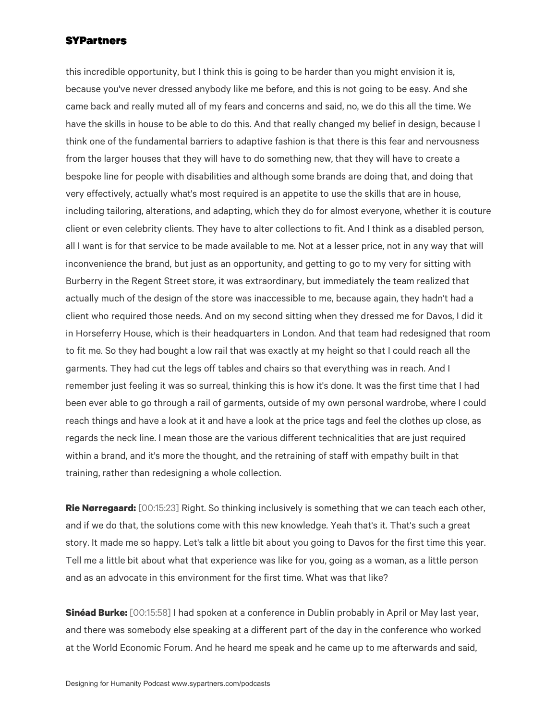this incredible opportunity, but I think this is going to be harder than you might envision it is, because you've never dressed anybody like me before, and this is not going to be easy. And she came back and really muted all of my fears and concerns and said, no, we do this all the time. We have the skills in house to be able to do this. And that really changed my belief in design, because I think one of the fundamental barriers to adaptive fashion is that there is this fear and nervousness from the larger houses that they will have to do something new, that they will have to create a bespoke line for people with disabilities and although some brands are doing that, and doing that very effectively, actually what's most required is an appetite to use the skills that are in house, including tailoring, alterations, and adapting, which they do for almost everyone, whether it is couture client or even celebrity clients. They have to alter collections to fit. And I think as a disabled person, all I want is for that service to be made available to me. Not at a lesser price, not in any way that will inconvenience the brand, but just as an opportunity, and getting to go to my very for sitting with Burberry in the Regent Street store, it was extraordinary, but immediately the team realized that actually much of the design of the store was inaccessible to me, because again, they hadn't had a client who required those needs. And on my second sitting when they dressed me for Davos, I did it in Horseferry House, which is their headquarters in London. And that team had redesigned that room to fit me. So they had bought a low rail that was exactly at my height so that I could reach all the garments. They had cut the legs off tables and chairs so that everything was in reach. And I remember just feeling it was so surreal, thinking this is how it's done. It was the first time that I had been ever able to go through a rail of garments, outside of my own personal wardrobe, where I could reach things and have a look at it and have a look at the price tags and feel the clothes up close, as regards the neck line. I mean those are the various different technicalities that are just required within a brand, and it's more the thought, and the retraining of staff with empathy built in that training, rather than redesigning a whole collection.

**Rie Nørregaard:** [00:15:23] Right. So thinking inclusively is something that we can teach each other, and if we do that, the solutions come with this new knowledge. Yeah that's it. That's such a great story. It made me so happy. Let's talk a little bit about you going to Davos for the first time this year. Tell me a little bit about what that experience was like for you, going as a woman, as a little person and as an advocate in this environment for the first time. What was that like?

**Sinéad Burke:** [00:15:58] I had spoken at a conference in Dublin probably in April or May last year, and there was somebody else speaking at a different part of the day in the conference who worked at the World Economic Forum. And he heard me speak and he came up to me afterwards and said,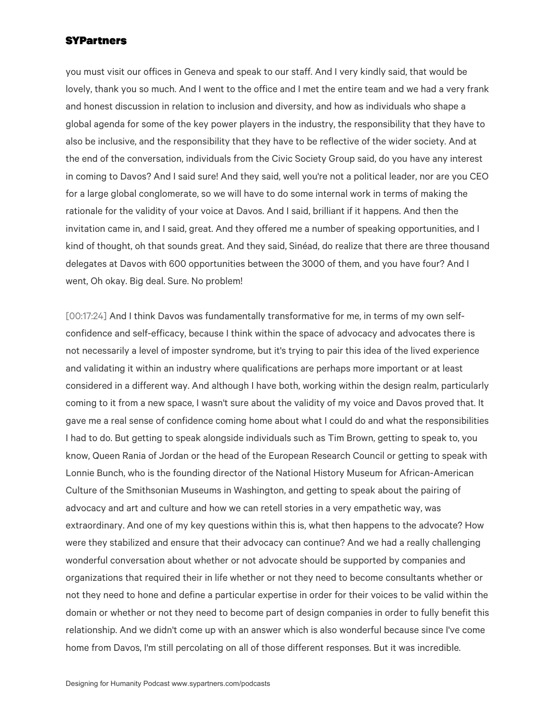you must visit our offices in Geneva and speak to our staff. And I very kindly said, that would be lovely, thank you so much. And I went to the office and I met the entire team and we had a very frank and honest discussion in relation to inclusion and diversity, and how as individuals who shape a global agenda for some of the key power players in the industry, the responsibility that they have to also be inclusive, and the responsibility that they have to be reflective of the wider society. And at the end of the conversation, individuals from the Civic Society Group said, do you have any interest in coming to Davos? And I said sure! And they said, well you're not a political leader, nor are you CEO for a large global conglomerate, so we will have to do some internal work in terms of making the rationale for the validity of your voice at Davos. And I said, brilliant if it happens. And then the invitation came in, and I said, great. And they offered me a number of speaking opportunities, and I kind of thought, oh that sounds great. And they said, Sinéad, do realize that there are three thousand delegates at Davos with 600 opportunities between the 3000 of them, and you have four? And I went, Oh okay. Big deal. Sure. No problem!

[00:17:24] And I think Davos was fundamentally transformative for me, in terms of my own selfconfidence and self-efficacy, because I think within the space of advocacy and advocates there is not necessarily a level of imposter syndrome, but it's trying to pair this idea of the lived experience and validating it within an industry where qualifications are perhaps more important or at least considered in a different way. And although I have both, working within the design realm, particularly coming to it from a new space, I wasn't sure about the validity of my voice and Davos proved that. It gave me a real sense of confidence coming home about what I could do and what the responsibilities I had to do. But getting to speak alongside individuals such as Tim Brown, getting to speak to, you know, Queen Rania of Jordan or the head of the European Research Council or getting to speak with Lonnie Bunch, who is the founding director of the National History Museum for African-American Culture of the Smithsonian Museums in Washington, and getting to speak about the pairing of advocacy and art and culture and how we can retell stories in a very empathetic way, was extraordinary. And one of my key questions within this is, what then happens to the advocate? How were they stabilized and ensure that their advocacy can continue? And we had a really challenging wonderful conversation about whether or not advocate should be supported by companies and organizations that required their in life whether or not they need to become consultants whether or not they need to hone and define a particular expertise in order for their voices to be valid within the domain or whether or not they need to become part of design companies in order to fully benefit this relationship. And we didn't come up with an answer which is also wonderful because since I've come home from Davos, I'm still percolating on all of those different responses. But it was incredible.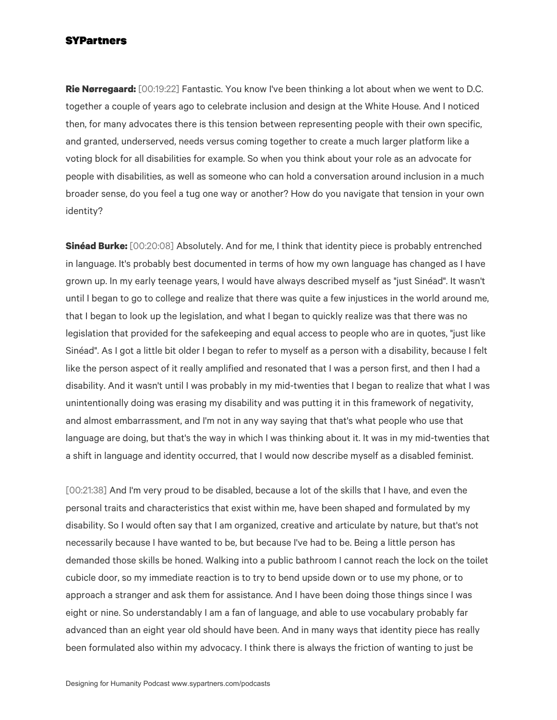**Rie Nørregaard:** [00:19:22] Fantastic. You know I've been thinking a lot about when we went to D.C. together a couple of years ago to celebrate inclusion and design at the White House. And I noticed then, for many advocates there is this tension between representing people with their own specific, and granted, underserved, needs versus coming together to create a much larger platform like a voting block for all disabilities for example. So when you think about your role as an advocate for people with disabilities, as well as someone who can hold a conversation around inclusion in a much broader sense, do you feel a tug one way or another? How do you navigate that tension in your own identity?

**Sinéad Burke:** [00:20:08] Absolutely. And for me, I think that identity piece is probably entrenched in language. It's probably best documented in terms of how my own language has changed as I have grown up. In my early teenage years, I would have always described myself as "just Sinéad". It wasn't until I began to go to college and realize that there was quite a few injustices in the world around me, that I began to look up the legislation, and what I began to quickly realize was that there was no legislation that provided for the safekeeping and equal access to people who are in quotes, "just like Sinéad". As I got a little bit older I began to refer to myself as a person with a disability, because I felt like the person aspect of it really amplified and resonated that I was a person first, and then I had a disability. And it wasn't until I was probably in my mid-twenties that I began to realize that what I was unintentionally doing was erasing my disability and was putting it in this framework of negativity, and almost embarrassment, and I'm not in any way saying that that's what people who use that language are doing, but that's the way in which I was thinking about it. It was in my mid-twenties that a shift in language and identity occurred, that I would now describe myself as a disabled feminist.

[00:21:38] And I'm very proud to be disabled, because a lot of the skills that I have, and even the personal traits and characteristics that exist within me, have been shaped and formulated by my disability. So I would often say that I am organized, creative and articulate by nature, but that's not necessarily because I have wanted to be, but because I've had to be. Being a little person has demanded those skills be honed. Walking into a public bathroom I cannot reach the lock on the toilet cubicle door, so my immediate reaction is to try to bend upside down or to use my phone, or to approach a stranger and ask them for assistance. And I have been doing those things since I was eight or nine. So understandably I am a fan of language, and able to use vocabulary probably far advanced than an eight year old should have been. And in many ways that identity piece has really been formulated also within my advocacy. I think there is always the friction of wanting to just be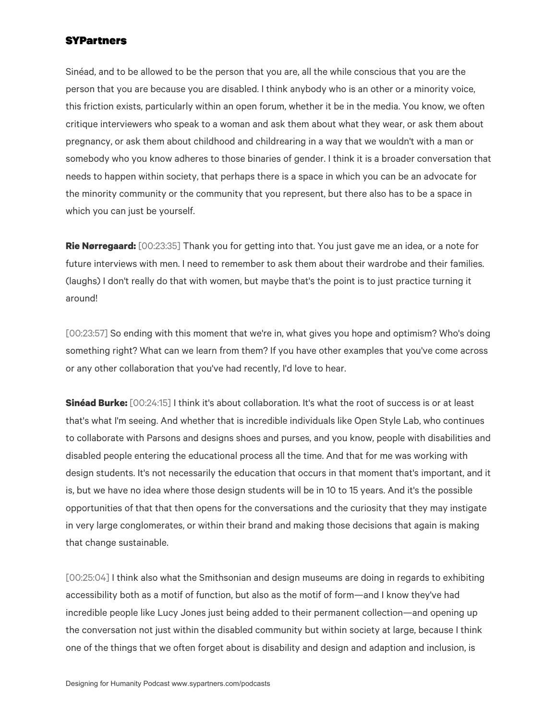Sinéad, and to be allowed to be the person that you are, all the while conscious that you are the person that you are because you are disabled. I think anybody who is an other or a minority voice, this friction exists, particularly within an open forum, whether it be in the media. You know, we often critique interviewers who speak to a woman and ask them about what they wear, or ask them about pregnancy, or ask them about childhood and childrearing in a way that we wouldn't with a man or somebody who you know adheres to those binaries of gender. I think it is a broader conversation that needs to happen within society, that perhaps there is a space in which you can be an advocate for the minority community or the community that you represent, but there also has to be a space in which you can just be yourself.

**Rie Nørregaard:** [00:23:35] Thank you for getting into that. You just gave me an idea, or a note for future interviews with men. I need to remember to ask them about their wardrobe and their families. (laughs) I don't really do that with women, but maybe that's the point is to just practice turning it around!

[00:23:57] So ending with this moment that we're in, what gives you hope and optimism? Who's doing something right? What can we learn from them? If you have other examples that you've come across or any other collaboration that you've had recently, I'd love to hear.

**Sinéad Burke:** [00:24:15] I think it's about collaboration. It's what the root of success is or at least that's what I'm seeing. And whether that is incredible individuals like Open Style Lab, who continues to collaborate with Parsons and designs shoes and purses, and you know, people with disabilities and disabled people entering the educational process all the time. And that for me was working with design students. It's not necessarily the education that occurs in that moment that's important, and it is, but we have no idea where those design students will be in 10 to 15 years. And it's the possible opportunities of that that then opens for the conversations and the curiosity that they may instigate in very large conglomerates, or within their brand and making those decisions that again is making that change sustainable.

[00:25:04] I think also what the Smithsonian and design museums are doing in regards to exhibiting accessibility both as a motif of function, but also as the motif of form—and I know they've had incredible people like Lucy Jones just being added to their permanent collection—and opening up the conversation not just within the disabled community but within society at large, because I think one of the things that we often forget about is disability and design and adaption and inclusion, is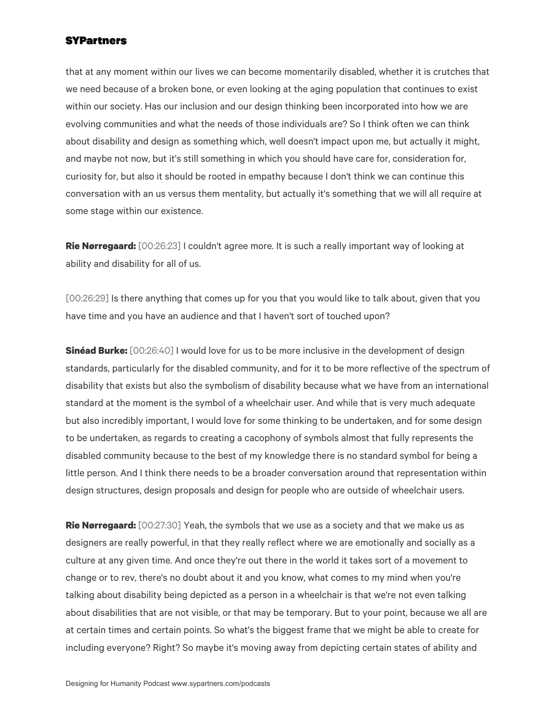that at any moment within our lives we can become momentarily disabled, whether it is crutches that we need because of a broken bone, or even looking at the aging population that continues to exist within our society. Has our inclusion and our design thinking been incorporated into how we are evolving communities and what the needs of those individuals are? So I think often we can think about disability and design as something which, well doesn't impact upon me, but actually it might, and maybe not now, but it's still something in which you should have care for, consideration for, curiosity for, but also it should be rooted in empathy because I don't think we can continue this conversation with an us versus them mentality, but actually it's something that we will all require at some stage within our existence.

**Rie Nørregaard:** [00:26:23] I couldn't agree more. It is such a really important way of looking at ability and disability for all of us.

[00:26:29] Is there anything that comes up for you that you would like to talk about, given that you have time and you have an audience and that I haven't sort of touched upon?

**Sinéad Burke:** [00:26:40] I would love for us to be more inclusive in the development of design standards, particularly for the disabled community, and for it to be more reflective of the spectrum of disability that exists but also the symbolism of disability because what we have from an international standard at the moment is the symbol of a wheelchair user. And while that is very much adequate but also incredibly important, I would love for some thinking to be undertaken, and for some design to be undertaken, as regards to creating a cacophony of symbols almost that fully represents the disabled community because to the best of my knowledge there is no standard symbol for being a little person. And I think there needs to be a broader conversation around that representation within design structures, design proposals and design for people who are outside of wheelchair users.

**Rie Nørregaard:** [00:27:30] Yeah, the symbols that we use as a society and that we make us as designers are really powerful, in that they really reflect where we are emotionally and socially as a culture at any given time. And once they're out there in the world it takes sort of a movement to change or to rev, there's no doubt about it and you know, what comes to my mind when you're talking about disability being depicted as a person in a wheelchair is that we're not even talking about disabilities that are not visible, or that may be temporary. But to your point, because we all are at certain times and certain points. So what's the biggest frame that we might be able to create for including everyone? Right? So maybe it's moving away from depicting certain states of ability and